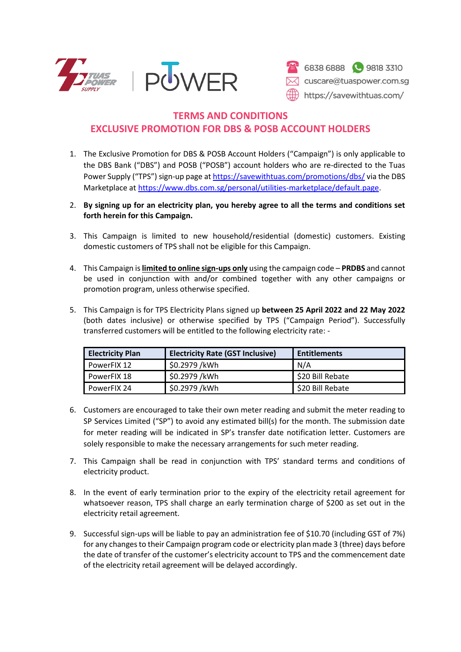



## **TERMS AND CONDITIONS EXCLUSIVE PROMOTION FOR DBS & POSB ACCOUNT HOLDERS**

- 1. The Exclusive Promotion for DBS & POSB Account Holders ("Campaign") is only applicable to the DBS Bank ("DBS") and POSB ("POSB") account holders who are re-directed to the Tuas Power Supply ("TPS") sign-up page at<https://savewithtuas.com/promotions/dbs/> via the DBS Marketplace at [https://www.dbs.com.sg/personal/utilities-marketplace/default.page.](https://www.dbs.com.sg/personal/utilities-marketplace/default.page)
- 2. **By signing up for an electricity plan, you hereby agree to all the terms and conditions set forth herein for this Campaign.**
- 3. This Campaign is limited to new household/residential (domestic) customers. Existing domestic customers of TPS shall not be eligible for this Campaign.
- 4. This Campaign is **limited to online sign-ups only** using the campaign code **PRDBS** and cannot be used in conjunction with and/or combined together with any other campaigns or promotion program, unless otherwise specified.
- 5. This Campaign is for TPS Electricity Plans signed up **between 25 April 2022 and 22 May 2022** (both dates inclusive) or otherwise specified by TPS ("Campaign Period"). Successfully transferred customers will be entitled to the following electricity rate: -

| <b>Electricity Plan</b> | <b>Electricity Rate (GST Inclusive)</b> | <b>Entitlements</b> |
|-------------------------|-----------------------------------------|---------------------|
| PowerFIX 12             | \$0.2979 /kWh                           | N/A                 |
| PowerFIX 18             | \$0.2979 /kWh                           | \$20 Bill Rebate    |
| PowerFIX 24             | \$0.2979 /kWh                           | \$20 Bill Rebate    |

- 6. Customers are encouraged to take their own meter reading and submit the meter reading to SP Services Limited ("SP") to avoid any estimated bill(s) for the month. The submission date for meter reading will be indicated in SP's transfer date notification letter. Customers are solely responsible to make the necessary arrangements for such meter reading.
- 7. This Campaign shall be read in conjunction with TPS' standard terms and conditions of electricity product.
- 8. In the event of early termination prior to the expiry of the electricity retail agreement for whatsoever reason, TPS shall charge an early termination charge of \$200 as set out in the electricity retail agreement.
- 9. Successful sign-ups will be liable to pay an administration fee of \$10.70 (including GST of 7%) for any changes to their Campaign program code or electricity plan made 3 (three) days before the date of transfer of the customer's electricity account to TPS and the commencement date of the electricity retail agreement will be delayed accordingly.